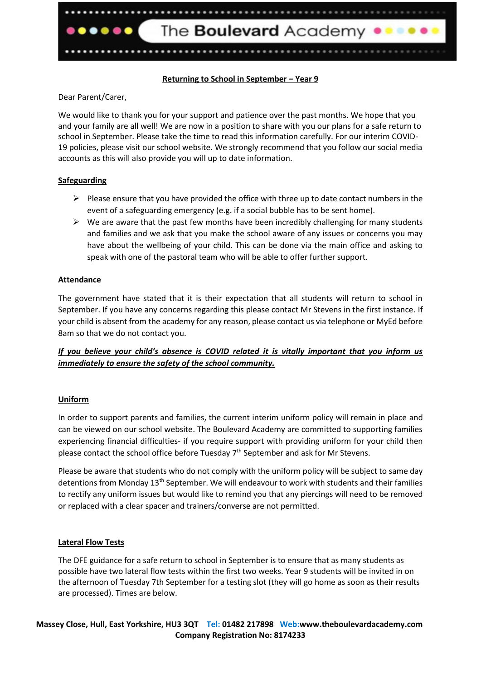

## **Returning to School in September – Year 9**

## Dear Parent/Carer,

We would like to thank you for your support and patience over the past months. We hope that you and your family are all well! We are now in a position to share with you our plans for a safe return to school in September. Please take the time to read this information carefully. For our interim COVID-19 policies, please visit our school website. We strongly recommend that you follow our social media accounts as this will also provide you will up to date information.

## **Safeguarding**

- $\triangleright$  Please ensure that you have provided the office with three up to date contact numbers in the event of a safeguarding emergency (e.g. if a social bubble has to be sent home).
- $\triangleright$  We are aware that the past few months have been incredibly challenging for many students and families and we ask that you make the school aware of any issues or concerns you may have about the wellbeing of your child. This can be done via the main office and asking to speak with one of the pastoral team who will be able to offer further support.

## **Attendance**

The government have stated that it is their expectation that all students will return to school in September. If you have any concerns regarding this please contact Mr Stevens in the first instance. If your child is absent from the academy for any reason, please contact us via telephone or MyEd before 8am so that we do not contact you.

# *If you believe your child's absence is COVID related it is vitally important that you inform us immediately to ensure the safety of the school community.*

## **Uniform**

In order to support parents and families, the current interim uniform policy will remain in place and can be viewed on our school website. The Boulevard Academy are committed to supporting families experiencing financial difficulties- if you require support with providing uniform for your child then please contact the school office before Tuesday  $7<sup>th</sup>$  September and ask for Mr Stevens.

Please be aware that students who do not comply with the uniform policy will be subject to same day detentions from Monday 13<sup>th</sup> September. We will endeavour to work with students and their families to rectify any uniform issues but would like to remind you that any piercings will need to be removed or replaced with a clear spacer and trainers/converse are not permitted.

### **Lateral Flow Tests**

The DFE guidance for a safe return to school in September is to ensure that as many students as possible have two lateral flow tests within the first two weeks. Year 9 students will be invited in on the afternoon of Tuesday 7th September for a testing slot (they will go home as soon as their results are processed). Times are below.

## **Massey Close, Hull, East Yorkshire, HU3 3QT Tel: 01482 217898 Web:www.theboulevardacademy.com Company Registration No: 8174233**